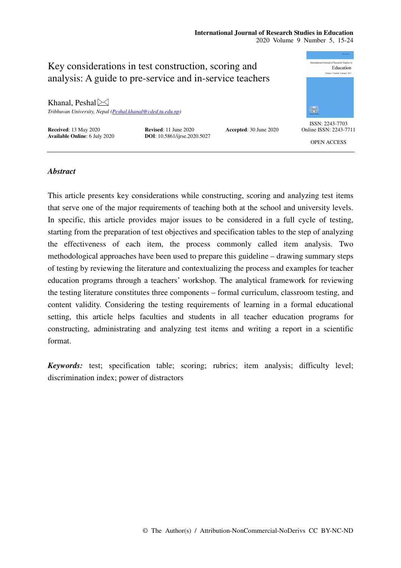# **International Journal of Research Studies in Education**  2020 Volume 9 Number 5, 15-24

ternational Journal of Research Studies in Key considerations in test construction, scoring and Education analysis: A guide to pre-service and in-service teachers Khanal, Peshal $\bowtie$ ₩ *Tribhuvan University, Nepal (Peshal.khanal@cded.tu.edu.np)*  ISSN: 2243-7703 **Received**: 13 May 2020<br> **Revised**: 11 June 2020<br> **Accepted**: 30 June 2020<br> **Accepted**: 30 June 2020<br> **DOI**: 10.5861/ijrse.2020.5027 Online ISSN: 2243-7711 **Available Online**: 6 July 2020 OPEN ACCESS

# *Abstract*

This article presents key considerations while constructing, scoring and analyzing test items that serve one of the major requirements of teaching both at the school and university levels. In specific, this article provides major issues to be considered in a full cycle of testing, starting from the preparation of test objectives and specification tables to the step of analyzing the effectiveness of each item, the process commonly called item analysis. Two methodological approaches have been used to prepare this guideline – drawing summary steps of testing by reviewing the literature and contextualizing the process and examples for teacher education programs through a teachers' workshop. The analytical framework for reviewing the testing literature constitutes three components – formal curriculum, classroom testing, and content validity. Considering the testing requirements of learning in a formal educational setting, this article helps faculties and students in all teacher education programs for constructing, administrating and analyzing test items and writing a report in a scientific format.

*Keywords:* test; specification table; scoring; rubrics; item analysis; difficulty level; discrimination index; power of distractors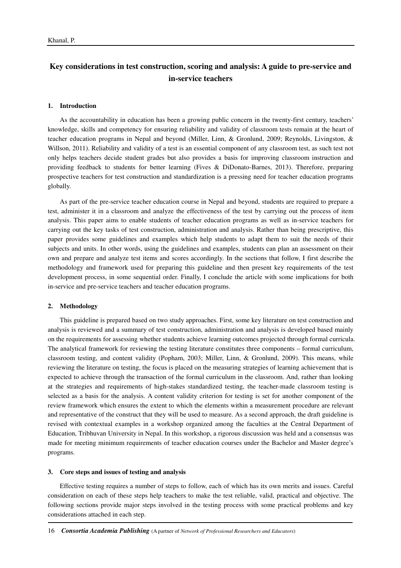# **Key considerations in test construction, scoring and analysis: A guide to pre-service and in-service teachers**

### **1. Introduction**

As the accountability in education has been a growing public concern in the twenty-first century, teachers' knowledge, skills and competency for ensuring reliability and validity of classroom tests remain at the heart of teacher education programs in Nepal and beyond (Miller, Linn, & Gronlund, 2009; Reynolds, Livingston, & Willson, 2011). Reliability and validity of a test is an essential component of any classroom test, as such test not only helps teachers decide student grades but also provides a basis for improving classroom instruction and providing feedback to students for better learning (Fives & DiDonato-Barnes, 2013). Therefore, preparing prospective teachers for test construction and standardization is a pressing need for teacher education programs globally.

As part of the pre-service teacher education course in Nepal and beyond, students are required to prepare a test, administer it in a classroom and analyze the effectiveness of the test by carrying out the process of item analysis. This paper aims to enable students of teacher education programs as well as in-service teachers for carrying out the key tasks of test construction, administration and analysis. Rather than being prescriptive, this paper provides some guidelines and examples which help students to adapt them to suit the needs of their subjects and units. In other words, using the guidelines and examples, students can plan an assessment on their own and prepare and analyze test items and scores accordingly. In the sections that follow, I first describe the methodology and framework used for preparing this guideline and then present key requirements of the test development process, in some sequential order. Finally, I conclude the article with some implications for both in-service and pre-service teachers and teacher education programs.

# **2. Methodology**

This guideline is prepared based on two study approaches. First, some key literature on test construction and analysis is reviewed and a summary of test construction, administration and analysis is developed based mainly on the requirements for assessing whether students achieve learning outcomes projected through formal curricula. The analytical framework for reviewing the testing literature constitutes three components – formal curriculum, classroom testing, and content validity (Popham, 2003; Miller, Linn, & Gronlund, 2009). This means, while reviewing the literature on testing, the focus is placed on the measuring strategies of learning achievement that is expected to achieve through the transaction of the formal curriculum in the classroom. And, rather than looking at the strategies and requirements of high-stakes standardized testing, the teacher-made classroom testing is selected as a basis for the analysis. A content validity criterion for testing is set for another component of the review framework which ensures the extent to which the elements within a measurement procedure are relevant and representative of the construct that they will be used to measure. As a second approach, the draft guideline is revised with contextual examples in a workshop organized among the faculties at the Central Department of Education, Tribhuvan University in Nepal. In this workshop, a rigorous discussion was held and a consensus was made for meeting minimum requirements of teacher education courses under the Bachelor and Master degree's programs.

## **3. Core steps and issues of testing and analysis**

Effective testing requires a number of steps to follow, each of which has its own merits and issues. Careful consideration on each of these steps help teachers to make the test reliable, valid, practical and objective. The following sections provide major steps involved in the testing process with some practical problems and key considerations attached in each step.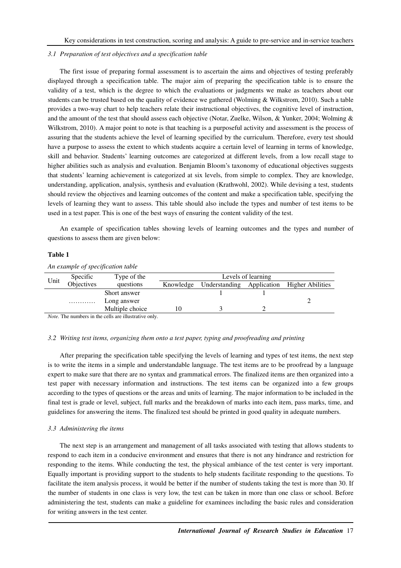### *3.1 Preparation of test objectives and a specification table*

The first issue of preparing formal assessment is to ascertain the aims and objectives of testing preferably displayed through a specification table. The major aim of preparing the specification table is to ensure the validity of a test, which is the degree to which the evaluations or judgments we make as teachers about our students can be trusted based on the quality of evidence we gathered (Wolming & Wilkstrom, 2010). Such a table provides a two-way chart to help teachers relate their instructional objectives, the cognitive level of instruction, and the amount of the test that should assess each objective (Notar, Zuelke, Wilson, & Yunker, 2004; Wolming & Wilkstrom, 2010). A major point to note is that teaching is a purposeful activity and assessment is the process of assuring that the students achieve the level of learning specified by the curriculum. Therefore, every test should have a purpose to assess the extent to which students acquire a certain level of learning in terms of knowledge, skill and behavior. Students' learning outcomes are categorized at different levels, from a low recall stage to higher abilities such as analysis and evaluation. Benjamin Bloom's taxonomy of educational objectives suggests that students' learning achievement is categorized at six levels, from simple to complex. They are knowledge, understanding, application, analysis, synthesis and evaluation (Krathwohl, 2002). While devising a test, students should review the objectives and learning outcomes of the content and make a specification table, specifying the levels of learning they want to assess. This table should also include the types and number of test items to be used in a test paper. This is one of the best ways of ensuring the content validity of the test.

An example of specification tables showing levels of learning outcomes and the types and number of questions to assess them are given below:

# **Table 1**

|                                                      | Specific   | Type of the     |           | Levels of learning |             |                  |  |
|------------------------------------------------------|------------|-----------------|-----------|--------------------|-------------|------------------|--|
| Unit                                                 | Objectives | questions       | Knowledge | Understanding      | Application | Higher Abilities |  |
|                                                      |            | Short answer    |           |                    |             |                  |  |
|                                                      | .          | Long answer     |           |                    |             |                  |  |
|                                                      |            | Multiple choice | 10        |                    |             |                  |  |
| Mote. The numbers in the colls are illustrative only |            |                 |           |                    |             |                  |  |

*An example of specification table* 

*Note.* The numbers in the cells are illustrative only.

# *3.2 Writing test items, organizing them onto a test paper, typing and proofreading and printing*

After preparing the specification table specifying the levels of learning and types of test items, the next step is to write the items in a simple and understandable language. The test items are to be proofread by a language expert to make sure that there are no syntax and grammatical errors. The finalized items are then organized into a test paper with necessary information and instructions. The test items can be organized into a few groups according to the types of questions or the areas and units of learning. The major information to be included in the final test is grade or level, subject, full marks and the breakdown of marks into each item, pass marks, time, and guidelines for answering the items. The finalized test should be printed in good quality in adequate numbers.

# *3.3 Administering the items*

The next step is an arrangement and management of all tasks associated with testing that allows students to respond to each item in a conducive environment and ensures that there is not any hindrance and restriction for responding to the items. While conducting the test, the physical ambiance of the test center is very important. Equally important is providing support to the students to help students facilitate responding to the questions. To facilitate the item analysis process, it would be better if the number of students taking the test is more than 30. If the number of students in one class is very low, the test can be taken in more than one class or school. Before administering the test, students can make a guideline for examinees including the basic rules and consideration for writing answers in the test center.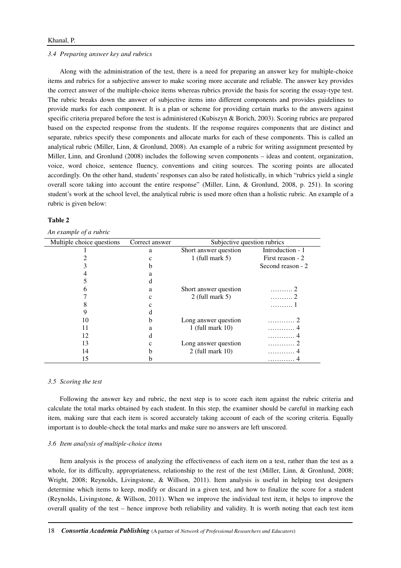### *3.4 Preparing answer key and rubrics*

Along with the administration of the test, there is a need for preparing an answer key for multiple-choice items and rubrics for a subjective answer to make scoring more accurate and reliable. The answer key provides the correct answer of the multiple-choice items whereas rubrics provide the basis for scoring the essay-type test. The rubric breaks down the answer of subjective items into different components and provides guidelines to provide marks for each component. It is a plan or scheme for providing certain marks to the answers against specific criteria prepared before the test is administered (Kubiszyn & Borich, 2003). Scoring rubrics are prepared based on the expected response from the students. If the response requires components that are distinct and separate, rubrics specify these components and allocate marks for each of these components. This is called an analytical rubric (Miller, Linn, & Gronlund, 2008). An example of a rubric for writing assignment presented by Miller, Linn, and Gronlund (2008) includes the following seven components – ideas and content, organization, voice, word choice, sentence fluency, conventions and citing sources. The scoring points are allocated accordingly. On the other hand, students' responses can also be rated holistically, in which "rubrics yield a single overall score taking into account the entire response" (Miller, Linn, & Gronlund, 2008, p. 251). In scoring student's work at the school level, the analytical rubric is used more often than a holistic rubric. An example of a rubric is given below:

## **Table 2**

*An example of a rubric* 

| Multiple choice questions | Correct answer | Subjective question rubrics |                   |  |
|---------------------------|----------------|-----------------------------|-------------------|--|
|                           | a              | Short answer question       | Introduction - 1  |  |
|                           | с              | 1 (full mark $5$ )          | First reason - 2  |  |
|                           |                |                             | Second reason - 2 |  |
|                           | a              |                             |                   |  |
|                           |                |                             |                   |  |
|                           | a              | Short answer question       | . 2               |  |
|                           | c              | $2$ (full mark 5)           | . 2               |  |
|                           |                |                             |                   |  |
|                           |                |                             |                   |  |
| 10                        | b              | Long answer question        | . 2               |  |
|                           | a              | $1$ (full mark $10$ )       | .                 |  |
| 12                        |                |                             | .                 |  |
| 13                        | с              | Long answer question        | .                 |  |
| 14                        | n              | $2$ (full mark 10)          |                   |  |
| 15                        |                |                             |                   |  |

### *3.5 Scoring the test*

Following the answer key and rubric, the next step is to score each item against the rubric criteria and calculate the total marks obtained by each student. In this step, the examiner should be careful in marking each item, making sure that each item is scored accurately taking account of each of the scoring criteria. Equally important is to double-check the total marks and make sure no answers are left unscored.

#### *3.6 Item analysis of multiple-choice items*

Item analysis is the process of analyzing the effectiveness of each item on a test, rather than the test as a whole, for its difficulty, appropriateness, relationship to the rest of the test (Miller, Linn, & Gronlund, 2008; Wright, 2008; Reynolds, Livingstone, & Willson, 2011). Item analysis is useful in helping test designers determine which items to keep, modify or discard in a given test, and how to finalize the score for a student (Reynolds, Livingstone, & Willson, 2011). When we improve the individual test item, it helps to improve the overall quality of the test – hence improve both reliability and validity. It is worth noting that each test item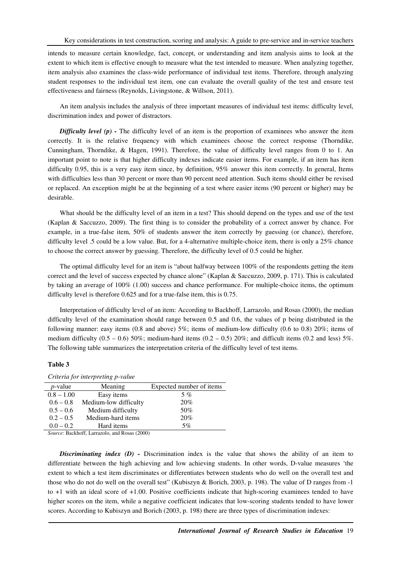intends to measure certain knowledge, fact, concept, or understanding and item analysis aims to look at the extent to which item is effective enough to measure what the test intended to measure. When analyzing together, item analysis also examines the class-wide performance of individual test items. Therefore, through analyzing student responses to the individual test item, one can evaluate the overall quality of the test and ensure test effectiveness and fairness (Reynolds, Livingstone, & Willson, 2011).

An item analysis includes the analysis of three important measures of individual test items: difficulty level, discrimination index and power of distractors.

*Difficulty level (p)* - The difficulty level of an item is the proportion of examinees who answer the item correctly. It is the relative frequency with which examinees choose the correct response (Thorndike, Cunningham, Thorndike, & Hagen, 1991). Therefore, the value of difficulty level ranges from 0 to 1. An important point to note is that higher difficulty indexes indicate easier items. For example, if an item has item difficulty 0.95, this is a very easy item since, by definition, 95% answer this item correctly. In general, Items with difficulties less than 30 percent or more than 90 percent need attention. Such items should either be revised or replaced. An exception might be at the beginning of a test where easier items (90 percent or higher) may be desirable.

What should be the difficulty level of an item in a test? This should depend on the types and use of the test (Kaplan & Saccuzzo, 2009). The first thing is to consider the probability of a correct answer by chance. For example, in a true-false item, 50% of students answer the item correctly by guessing (or chance), therefore, difficulty level .5 could be a low value. But, for a 4-alternative multiple-choice item, there is only a 25% chance to choose the correct answer by guessing. Therefore, the difficulty level of 0.5 could be higher.

The optimal difficulty level for an item is "about halfway between 100% of the respondents getting the item correct and the level of success expected by chance alone" (Kaplan & Saccuzzo, 2009, p. 171). This is calculated by taking an average of 100% (1.00) success and chance performance. For multiple-choice items, the optimum difficulty level is therefore 0.625 and for a true-false item, this is 0.75.

Interpretation of difficulty level of an item: According to Backhoff, Larrazolo, and Rosas (2000), the median difficulty level of the examination should range between 0.5 and 0.6, the values of p being distributed in the following manner: easy items (0.8 and above)  $5\%$ ; items of medium-low difficulty (0.6 to 0.8) 20%; items of medium difficulty  $(0.5 - 0.6)$  50%; medium-hard items  $(0.2 - 0.5)$  20%; and difficult items  $(0.2$  and less) 5%. The following table summarizes the interpretation criteria of the difficulty level of test items.

# **Table 3**

### *Criteria for interpreting p-value*

| $p$ -value   | Meaning               | Expected number of items |
|--------------|-----------------------|--------------------------|
| $0.8 - 1.00$ | Easy items            | 5 %                      |
| $0.6 - 0.8$  | Medium-low difficulty | 20%                      |
| $0.5 - 0.6$  | Medium difficulty     | 50%                      |
| $0.2 - 0.5$  | Medium-hard items     | 20%                      |
| $0.0 - 0.2$  | Hard items            | 5%                       |

*Source*: Backhoff, Larrazolo, and Rosas (2000)

*Discriminating index (D) - Discrimination index is the value that shows the ability of an item to* differentiate between the high achieving and low achieving students. In other words, D-value measures 'the extent to which a test item discriminates or differentiates between students who do well on the overall test and those who do not do well on the overall test" (Kubiszyn & Borich, 2003, p. 198). The value of D ranges from -1 to +1 with an ideal score of +1.00. Positive coefficients indicate that high-scoring examinees tended to have higher scores on the item, while a negative coefficient indicates that low-scoring students tended to have lower scores. According to Kubiszyn and Borich (2003, p. 198) there are three types of discrimination indexes: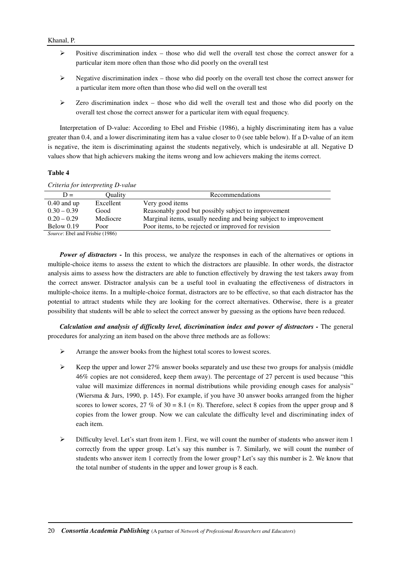# Khanal, P.

- Positive discrimination index those who did well the overall test chose the correct answer for a particular item more often than those who did poorly on the overall test
- $\triangleright$  Negative discrimination index those who did poorly on the overall test chose the correct answer for a particular item more often than those who did well on the overall test
- $\triangleright$  Zero discrimination index those who did well the overall test and those who did poorly on the overall test chose the correct answer for a particular item with equal frequency.

Interpretation of D-value: According to Ebel and Frisbie (1986), a highly discriminating item has a value greater than 0.4, and a lower discriminating item has a value closer to 0 (see table below). If a D-value of an item is negative, the item is discriminating against the students negatively, which is undesirable at all. Negative D values show that high achievers making the items wrong and low achievers making the items correct.

# **Table 4**

| Criteria for interpreting D-value |           |                                                                  |  |  |  |
|-----------------------------------|-----------|------------------------------------------------------------------|--|--|--|
| $D =$                             | Ouality   | Recommendations                                                  |  |  |  |
| $0.40$ and up                     | Excellent | Very good items                                                  |  |  |  |
| $0.30 - 0.39$                     | Good      | Reasonably good but possibly subject to improvement              |  |  |  |
| $0.20 - 0.29$                     | Mediocre  | Marginal items, usually needing and being subject to improvement |  |  |  |
| Below $0.19$                      | Poor      | Poor items, to be rejected or improved for revision              |  |  |  |
| Course Fhal and Frights (1096)    |           |                                                                  |  |  |  |

*Source*: Ebel and Frisbie (1986)

*Power of distractors -* In this process, we analyze the responses in each of the alternatives or options in multiple-choice items to assess the extent to which the distractors are plausible. In other words, the distractor analysis aims to assess how the distracters are able to function effectively by drawing the test takers away from the correct answer. Distractor analysis can be a useful tool in evaluating the effectiveness of distractors in multiple-choice items. In a multiple-choice format, distractors are to be effective, so that each distractor has the potential to attract students while they are looking for the correct alternatives. Otherwise, there is a greater possibility that students will be able to select the correct answer by guessing as the options have been reduced.

*Calculation and analysis of difficulty level, discrimination index and power of distractors -* The general procedures for analyzing an item based on the above three methods are as follows:

- Arrange the answer books from the highest total scores to lowest scores.
- $\triangleright$  Keep the upper and lower 27% answer books separately and use these two groups for analysis (middle 46% copies are not considered, keep them away). The percentage of 27 percent is used because "this value will maximize differences in normal distributions while providing enough cases for analysis" (Wiersma & Jurs, 1990, p. 145). For example, if you have 30 answer books arranged from the higher scores to lower scores,  $27\%$  of  $30 = 8.1$  (= 8). Therefore, select 8 copies from the upper group and 8 copies from the lower group. Now we can calculate the difficulty level and discriminating index of each item.
- $\triangleright$  Difficulty level. Let's start from item 1. First, we will count the number of students who answer item 1 correctly from the upper group. Let's say this number is 7. Similarly, we will count the number of students who answer item 1 correctly from the lower group? Let's say this number is 2. We know that the total number of students in the upper and lower group is 8 each.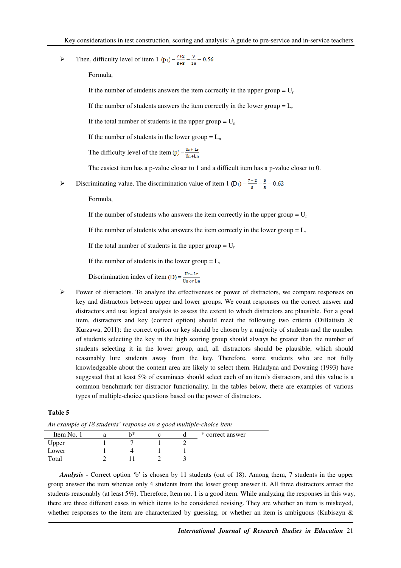> Then, difficulty level of item 1 (p<sub>1</sub>) =  $\frac{7+2}{8+8}$  =  $\frac{9}{16}$  = 0.56

Formula,

If the number of students answers the item correctly in the upper group  $= U_r$ 

If the number of students answers the item correctly in the lower group  $= L_r$ 

If the total number of students in the upper group  $= U_n$ 

If the number of students in the lower group  $= L_n$ 

The difficulty level of the item (p) =  $\frac{Ur + Lr}{\ln 1 \cdot h}$ 

The easiest item has a p-value closer to 1 and a difficult item has a p-value closer to 0.

 $\triangleright$  Discriminating value. The discrimination value of item 1 (D<sub>1</sub>) =  $\frac{7-2}{8} = \frac{5}{8} = 0.62$ 

Formula,

If the number of students who answers the item correctly in the upper group  $= U_r$ 

If the number of students who answers the item correctly in the lower group  $= L_r$ 

If the total number of students in the upper group  $= U_r$ 

If the number of students in the lower group  $= L_r$ 

Discrimination index of item (D) =  $\frac{Ur - Lr}{Un \text{ or } Ln}$ 

 $\triangleright$  Power of distractors. To analyze the effectiveness or power of distractors, we compare responses on key and distractors between upper and lower groups. We count responses on the correct answer and distractors and use logical analysis to assess the extent to which distractors are plausible. For a good item, distractors and key (correct option) should meet the following two criteria (DiBattista & Kurzawa, 2011): the correct option or key should be chosen by a majority of students and the number of students selecting the key in the high scoring group should always be greater than the number of students selecting it in the lower group, and, all distractors should be plausible, which should reasonably lure students away from the key. Therefore, some students who are not fully knowledgeable about the content area are likely to select them. Haladyna and Downing (1993) have suggested that at least 5% of examinees should select each of an item's distractors, and this value is a common benchmark for distractor functionality. In the tables below, there are examples of various types of multiple-choice questions based on the power of distractors.

# **Table 5**

*An example of 18 students' response on a good multiple-choice item* 

| Item No. 1 | h* |  | * correct answer |
|------------|----|--|------------------|
| Upper      |    |  |                  |
| Lower      |    |  |                  |
| Total      |    |  |                  |

*Analysis* - Correct option 'b' is chosen by 11 students (out of 18). Among them, 7 students in the upper group answer the item whereas only 4 students from the lower group answer it. All three distractors attract the students reasonably (at least 5%). Therefore, Item no. 1 is a good item. While analyzing the responses in this way, there are three different cases in which items to be considered revising. They are whether an item is miskeyed, whether responses to the item are characterized by guessing, or whether an item is ambiguous (Kubiszyn &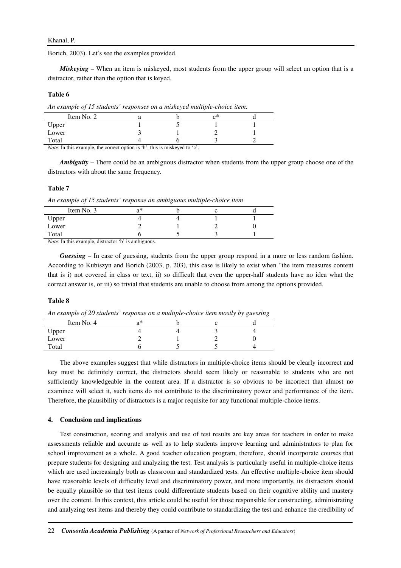# Khanal, P.

Borich, 2003). Let's see the examples provided.

*Miskeying* – When an item is miskeyed, most students from the upper group will select an option that is a distractor, rather than the option that is keyed.

# **Table 6**

*An example of 15 students' responses on a miskeyed multiple-choice item.* 

| Item No. 2 |  | ∼* |  |
|------------|--|----|--|
| Upper      |  |    |  |
| Lower      |  | -  |  |
| Total      |  |    |  |

*Note*: In this example, the correct option is 'b', this is miskeyed to 'c'.

*Ambiguity* – There could be an ambiguous distractor when students from the upper group choose one of the distractors with about the same frequency.

# **Table 7**

*An example of 15 students' response an ambiguous multiple-choice item* 

| Item No. 3 | ่า* |  |  |
|------------|-----|--|--|
| Upper      |     |  |  |
| Lower      |     |  |  |
| Total      |     |  |  |

*Note*: In this example, distractor 'b' is ambiguous.

*Guessing* – In case of guessing, students from the upper group respond in a more or less random fashion. According to Kubiszyn and Borich (2003, p. 203), this case is likely to exist when "the item measures content that is i) not covered in class or text, ii) so difficult that even the upper-half students have no idea what the correct answer is, or iii) so trivial that students are unable to choose from among the options provided.

# **Table 8**

*An example of 20 students' response on a multiple-choice item mostly by guessing* 

| Item No. 4 | a* |  |  |
|------------|----|--|--|
| Upper      |    |  |  |
| Lower      |    |  |  |
| Total      |    |  |  |

The above examples suggest that while distractors in multiple-choice items should be clearly incorrect and key must be definitely correct, the distractors should seem likely or reasonable to students who are not sufficiently knowledgeable in the content area. If a distractor is so obvious to be incorrect that almost no examinee will select it, such items do not contribute to the discriminatory power and performance of the item. Therefore, the plausibility of distractors is a major requisite for any functional multiple-choice items.

### **4. Conclusion and implications**

Test construction, scoring and analysis and use of test results are key areas for teachers in order to make assessments reliable and accurate as well as to help students improve learning and administrators to plan for school improvement as a whole. A good teacher education program, therefore, should incorporate courses that prepare students for designing and analyzing the test. Test analysis is particularly useful in multiple-choice items which are used increasingly both as classroom and standardized tests. An effective multiple-choice item should have reasonable levels of difficulty level and discriminatory power, and more importantly, its distractors should be equally plausible so that test items could differentiate students based on their cognitive ability and mastery over the content. In this context, this article could be useful for those responsible for constructing, administrating and analyzing test items and thereby they could contribute to standardizing the test and enhance the credibility of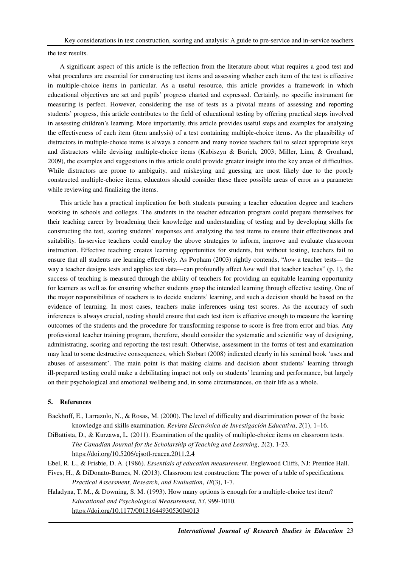the test results.

A significant aspect of this article is the reflection from the literature about what requires a good test and what procedures are essential for constructing test items and assessing whether each item of the test is effective in multiple-choice items in particular. As a useful resource, this article provides a framework in which educational objectives are set and pupils' progress charted and expressed. Certainly, no specific instrument for measuring is perfect. However, considering the use of tests as a pivotal means of assessing and reporting students' progress, this article contributes to the field of educational testing by offering practical steps involved in assessing children's learning. More importantly, this article provides useful steps and examples for analyzing the effectiveness of each item (item analysis) of a test containing multiple-choice items. As the plausibility of distractors in multiple-choice items is always a concern and many novice teachers fail to select appropriate keys and distractors while devising multiple-choice items (Kubiszyn & Borich, 2003; Miller, Linn, & Gronlund, 2009), the examples and suggestions in this article could provide greater insight into the key areas of difficulties. While distractors are prone to ambiguity, and miskeying and guessing are most likely due to the poorly constructed multiple-choice items, educators should consider these three possible areas of error as a parameter while reviewing and finalizing the items.

This article has a practical implication for both students pursuing a teacher education degree and teachers working in schools and colleges. The students in the teacher education program could prepare themselves for their teaching career by broadening their knowledge and understanding of testing and by developing skills for constructing the test, scoring students' responses and analyzing the test items to ensure their effectiveness and suitability. In-service teachers could employ the above strategies to inform, improve and evaluate classroom instruction. Effective teaching creates learning opportunities for students, but without testing, teachers fail to ensure that all students are learning effectively. As Popham (2003) rightly contends, "*how* a teacher tests— the way a teacher designs tests and applies test data—can profoundly affect *how* well that teacher teaches" (p. 1), the success of teaching is measured through the ability of teachers for providing an equitable learning opportunity for learners as well as for ensuring whether students grasp the intended learning through effective testing. One of the major responsibilities of teachers is to decide students' learning, and such a decision should be based on the evidence of learning. In most cases, teachers make inferences using test scores. As the accuracy of such inferences is always crucial, testing should ensure that each test item is effective enough to measure the learning outcomes of the students and the procedure for transforming response to score is free from error and bias. Any professional teacher training program, therefore, should consider the systematic and scientific way of designing, administrating, scoring and reporting the test result. Otherwise, assessment in the forms of test and examination may lead to some destructive consequences, which Stobart (2008) indicated clearly in his seminal book 'uses and abuses of assessment'. The main point is that making claims and decision about students' learning through ill-prepared testing could make a debilitating impact not only on students' learning and performance, but largely on their psychological and emotional wellbeing and, in some circumstances, on their life as a whole.

# **5. References**

Backhoff, E., Larrazolo, N., & Rosas, M. (2000). The level of difficulty and discrimination power of the basic knowledge and skills examination. *Revista Electrónica de Investigación Educativa*, *2*(1), 1–16.

DiBattista, D., & Kurzawa, L. (2011). Examination of the quality of multiple-choice items on classroom tests. *The Canadian Journal for the Scholarship of Teaching and Learning*, *2*(2), 1-23. https://doi.org/10.5206/cjsotl-rcacea.2011.2.4

Ebel, R. L., & Frisbie, D. A. (1986). *Essentials of education measurement*. Englewood Cliffs, NJ: Prentice Hall.

Fives, H., & DiDonato-Barnes, N. (2013). Classroom test construction: The power of a table of specifications. *Practical Assessment, Research, and Evaluation*, *18*(3), 1-7.

Haladyna, T. M., & Downing, S. M. (1993). How many options is enough for a multiple-choice test item? *Educational and Psychological Measurement*, *53*, 999-1010. https://doi.org/10.1177/0013164493053004013